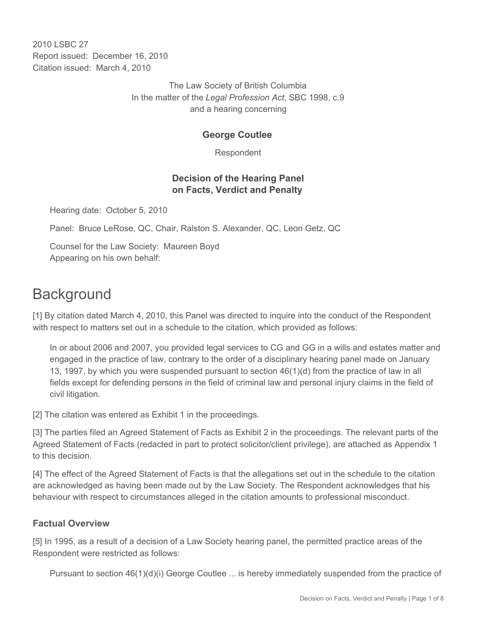2010 LSBC 27 Report issued: December 16, 2010 Citation issued: March 4, 2010

> The Law Society of British Columbia In the matter of the *Legal Profession Act*, SBC 1998, c.9 and a hearing concerning

## **George Coutlee**

Respondent

## **Decision of the Hearing Panel on Facts, Verdict and Penalty**

Hearing date: October 5, 2010

Panel: Bruce LeRose, QC, Chair, Ralston S. Alexander, QC, Leon Getz, QC

Counsel for the Law Society: Maureen Boyd Appearing on his own behalf:

# **Background**

[1] By citation dated March 4, 2010, this Panel was directed to inquire into the conduct of the Respondent with respect to matters set out in a schedule to the citation, which provided as follows:

In or about 2006 and 2007, you provided legal services to CG and GG in a wills and estates matter and engaged in the practice of law, contrary to the order of a disciplinary hearing panel made on January 13, 1997, by which you were suspended pursuant to section 46(1)(d) from the practice of law in all fields except for defending persons in the field of criminal law and personal injury claims in the field of civil litigation.

[2] The citation was entered as Exhibit 1 in the proceedings.

[3] The parties filed an Agreed Statement of Facts as Exhibit 2 in the proceedings. The relevant parts of the Agreed Statement of Facts (redacted in part to protect solicitor/client privilege), are attached as Appendix 1 to this decision.

[4] The effect of the Agreed Statement of Facts is that the allegations set out in the schedule to the citation are acknowledged as having been made out by the Law Society. The Respondent acknowledges that his behaviour with respect to circumstances alleged in the citation amounts to professional misconduct.

## **Factual Overview**

[5] In 1995, as a result of a decision of a Law Society hearing panel, the permitted practice areas of the Respondent were restricted as follows:

Pursuant to section 46(1)(d)(i) George Coutlee ... is hereby immediately suspended from the practice of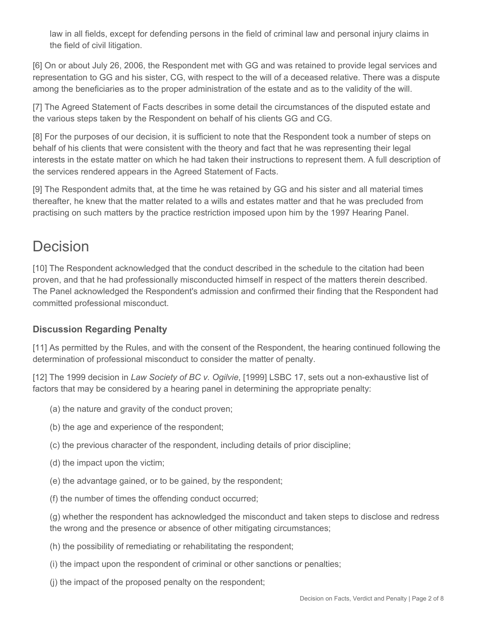law in all fields, except for defending persons in the field of criminal law and personal injury claims in the field of civil litigation.

[6] On or about July 26, 2006, the Respondent met with GG and was retained to provide legal services and representation to GG and his sister, CG, with respect to the will of a deceased relative. There was a dispute among the beneficiaries as to the proper administration of the estate and as to the validity of the will.

[7] The Agreed Statement of Facts describes in some detail the circumstances of the disputed estate and the various steps taken by the Respondent on behalf of his clients GG and CG.

[8] For the purposes of our decision, it is sufficient to note that the Respondent took a number of steps on behalf of his clients that were consistent with the theory and fact that he was representing their legal interests in the estate matter on which he had taken their instructions to represent them. A full description of the services rendered appears in the Agreed Statement of Facts.

[9] The Respondent admits that, at the time he was retained by GG and his sister and all material times thereafter, he knew that the matter related to a wills and estates matter and that he was precluded from practising on such matters by the practice restriction imposed upon him by the 1997 Hearing Panel.

# Decision

[10] The Respondent acknowledged that the conduct described in the schedule to the citation had been proven, and that he had professionally misconducted himself in respect of the matters therein described. The Panel acknowledged the Respondent's admission and confirmed their finding that the Respondent had committed professional misconduct.

# **Discussion Regarding Penalty**

[11] As permitted by the Rules, and with the consent of the Respondent, the hearing continued following the determination of professional misconduct to consider the matter of penalty.

[12] The 1999 decision in *Law Society of BC v. Ogilvie*, [1999] LSBC 17, sets out a non-exhaustive list of factors that may be considered by a hearing panel in determining the appropriate penalty:

- (a) the nature and gravity of the conduct proven;
- (b) the age and experience of the respondent;
- (c) the previous character of the respondent, including details of prior discipline;
- (d) the impact upon the victim;
- (e) the advantage gained, or to be gained, by the respondent;
- (f) the number of times the offending conduct occurred;

(g) whether the respondent has acknowledged the misconduct and taken steps to disclose and redress the wrong and the presence or absence of other mitigating circumstances;

- (h) the possibility of remediating or rehabilitating the respondent;
- (i) the impact upon the respondent of criminal or other sanctions or penalties;
- (j) the impact of the proposed penalty on the respondent;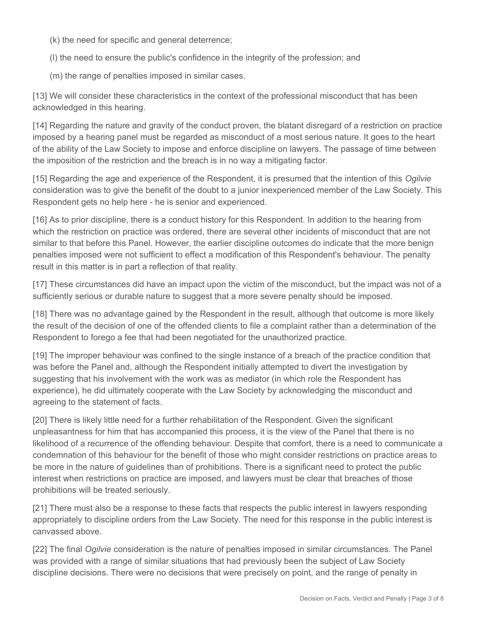(k) the need for specific and general deterrence;

(l) the need to ensure the public's confidence in the integrity of the profession; and

(m) the range of penalties imposed in similar cases.

[13] We will consider these characteristics in the context of the professional misconduct that has been acknowledged in this hearing.

[14] Regarding the nature and gravity of the conduct proven, the blatant disregard of a restriction on practice imposed by a hearing panel must be regarded as misconduct of a most serious nature. It goes to the heart of the ability of the Law Society to impose and enforce discipline on lawyers. The passage of time between the imposition of the restriction and the breach is in no way a mitigating factor.

[15] Regarding the age and experience of the Respondent, it is presumed that the intention of this *Ogilvie* consideration was to give the benefit of the doubt to a junior inexperienced member of the Law Society. This Respondent gets no help here - he is senior and experienced.

[16] As to prior discipline, there is a conduct history for this Respondent. In addition to the hearing from which the restriction on practice was ordered, there are several other incidents of misconduct that are not similar to that before this Panel. However, the earlier discipline outcomes do indicate that the more benign penalties imposed were not sufficient to effect a modification of this Respondent's behaviour. The penalty result in this matter is in part a reflection of that reality.

[17] These circumstances did have an impact upon the victim of the misconduct, but the impact was not of a sufficiently serious or durable nature to suggest that a more severe penalty should be imposed.

[18] There was no advantage gained by the Respondent in the result, although that outcome is more likely the result of the decision of one of the offended clients to file a complaint rather than a determination of the Respondent to forego a fee that had been negotiated for the unauthorized practice.

[19] The improper behaviour was confined to the single instance of a breach of the practice condition that was before the Panel and, although the Respondent initially attempted to divert the investigation by suggesting that his involvement with the work was as mediator (in which role the Respondent has experience), he did ultimately cooperate with the Law Society by acknowledging the misconduct and agreeing to the statement of facts.

[20] There is likely little need for a further rehabilitation of the Respondent. Given the significant unpleasantness for him that has accompanied this process, it is the view of the Panel that there is no likelihood of a recurrence of the offending behaviour. Despite that comfort, there is a need to communicate a condemnation of this behaviour for the benefit of those who might consider restrictions on practice areas to be more in the nature of guidelines than of prohibitions. There is a significant need to protect the public interest when restrictions on practice are imposed, and lawyers must be clear that breaches of those prohibitions will be treated seriously.

[21] There must also be a response to these facts that respects the public interest in lawyers responding appropriately to discipline orders from the Law Society. The need for this response in the public interest is canvassed above.

[22] The final *Ogilvie* consideration is the nature of penalties imposed in similar circumstances. The Panel was provided with a range of similar situations that had previously been the subject of Law Society discipline decisions. There were no decisions that were precisely on point, and the range of penalty in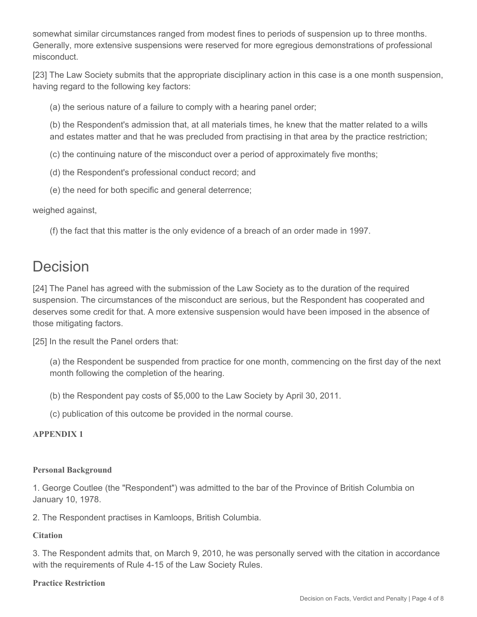somewhat similar circumstances ranged from modest fines to periods of suspension up to three months. Generally, more extensive suspensions were reserved for more egregious demonstrations of professional misconduct.

[23] The Law Society submits that the appropriate disciplinary action in this case is a one month suspension, having regard to the following key factors:

(a) the serious nature of a failure to comply with a hearing panel order;

(b) the Respondent's admission that, at all materials times, he knew that the matter related to a wills and estates matter and that he was precluded from practising in that area by the practice restriction;

(c) the continuing nature of the misconduct over a period of approximately five months;

- (d) the Respondent's professional conduct record; and
- (e) the need for both specific and general deterrence;

weighed against,

(f) the fact that this matter is the only evidence of a breach of an order made in 1997.

# Decision

[24] The Panel has agreed with the submission of the Law Society as to the duration of the required suspension. The circumstances of the misconduct are serious, but the Respondent has cooperated and deserves some credit for that. A more extensive suspension would have been imposed in the absence of those mitigating factors.

[25] In the result the Panel orders that:

(a) the Respondent be suspended from practice for one month, commencing on the first day of the next month following the completion of the hearing.

(b) the Respondent pay costs of \$5,000 to the Law Society by April 30, 2011.

(c) publication of this outcome be provided in the normal course.

#### **APPENDIX 1**

### **Personal Background**

1. George Coutlee (the "Respondent") was admitted to the bar of the Province of British Columbia on January 10, 1978.

2. The Respondent practises in Kamloops, British Columbia.

### **Citation**

3. The Respondent admits that, on March 9, 2010, he was personally served with the citation in accordance with the requirements of Rule 4-15 of the Law Society Rules.

#### **Practice Restriction**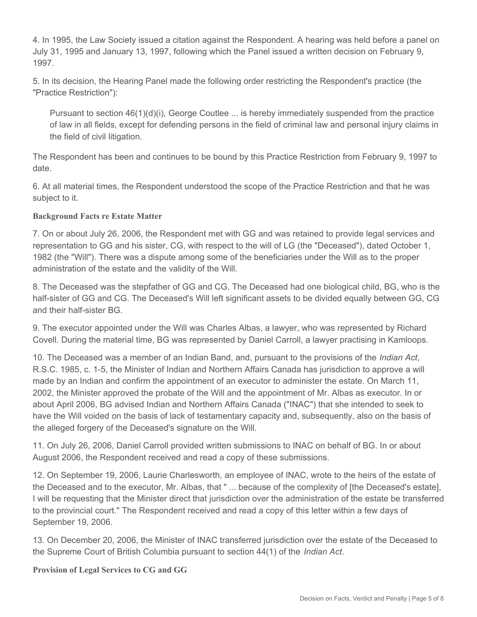4. In 1995, the Law Society issued a citation against the Respondent. A hearing was held before a panel on July 31, 1995 and January 13, 1997, following which the Panel issued a written decision on February 9, 1997.

5. In its decision, the Hearing Panel made the following order restricting the Respondent's practice (the "Practice Restriction"):

Pursuant to section 46(1)(d)(i), George Coutlee ... is hereby immediately suspended from the practice of law in all fields, except for defending persons in the field of criminal law and personal injury claims in the field of civil litigation.

The Respondent has been and continues to be bound by this Practice Restriction from February 9, 1997 to date.

6. At all material times, the Respondent understood the scope of the Practice Restriction and that he was subject to it.

## **Background Facts re Estate Matter**

7. On or about July 26, 2006, the Respondent met with GG and was retained to provide legal services and representation to GG and his sister, CG, with respect to the will of LG (the "Deceased"), dated October 1, 1982 (the "Will"). There was a dispute among some of the beneficiaries under the Will as to the proper administration of the estate and the validity of the Will.

8. The Deceased was the stepfather of GG and CG. The Deceased had one biological child, BG, who is the half-sister of GG and CG. The Deceased's Will left significant assets to be divided equally between GG, CG and their half-sister BG.

9. The executor appointed under the Will was Charles Albas, a lawyer, who was represented by Richard Covell. During the material time, BG was represented by Daniel Carroll, a lawyer practising in Kamloops.

10. The Deceased was a member of an Indian Band, and, pursuant to the provisions of the *Indian Act*, R.S.C. 1985, c. 1-5, the Minister of Indian and Northern Affairs Canada has jurisdiction to approve a will made by an Indian and confirm the appointment of an executor to administer the estate. On March 11, 2002, the Minister approved the probate of the Will and the appointment of Mr. Albas as executor. In or about April 2006, BG advised Indian and Northern Affairs Canada ("INAC") that she intended to seek to have the Will voided on the basis of lack of testamentary capacity and, subsequently, also on the basis of the alleged forgery of the Deceased's signature on the Will.

11. On July 26, 2006, Daniel Carroll provided written submissions to INAC on behalf of BG. In or about August 2006, the Respondent received and read a copy of these submissions.

12. On September 19, 2006, Laurie Charlesworth, an employee of INAC, wrote to the heirs of the estate of the Deceased and to the executor, Mr. Albas, that " ... because of the complexity of [the Deceased's estate], I will be requesting that the Minister direct that jurisdiction over the administration of the estate be transferred to the provincial court." The Respondent received and read a copy of this letter within a few days of September 19, 2006.

13. On December 20, 2006, the Minister of INAC transferred jurisdiction over the estate of the Deceased to the Supreme Court of British Columbia pursuant to section 44(1) of the *Indian Act*.

**Provision of Legal Services to CG and GG**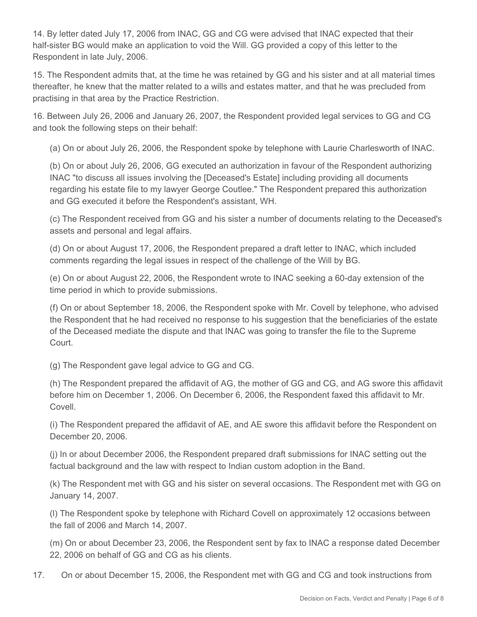14. By letter dated July 17, 2006 from INAC, GG and CG were advised that INAC expected that their half-sister BG would make an application to void the Will. GG provided a copy of this letter to the Respondent in late July, 2006.

15. The Respondent admits that, at the time he was retained by GG and his sister and at all material times thereafter, he knew that the matter related to a wills and estates matter, and that he was precluded from practising in that area by the Practice Restriction.

16. Between July 26, 2006 and January 26, 2007, the Respondent provided legal services to GG and CG and took the following steps on their behalf:

(a) On or about July 26, 2006, the Respondent spoke by telephone with Laurie Charlesworth of INAC.

(b) On or about July 26, 2006, GG executed an authorization in favour of the Respondent authorizing INAC "to discuss all issues involving the [Deceased's Estate] including providing all documents regarding his estate file to my lawyer George Coutlee." The Respondent prepared this authorization and GG executed it before the Respondent's assistant, WH.

(c) The Respondent received from GG and his sister a number of documents relating to the Deceased's assets and personal and legal affairs.

(d) On or about August 17, 2006, the Respondent prepared a draft letter to INAC, which included comments regarding the legal issues in respect of the challenge of the Will by BG.

(e) On or about August 22, 2006, the Respondent wrote to INAC seeking a 60-day extension of the time period in which to provide submissions.

(f) On or about September 18, 2006, the Respondent spoke with Mr. Covell by telephone, who advised the Respondent that he had received no response to his suggestion that the beneficiaries of the estate of the Deceased mediate the dispute and that INAC was going to transfer the file to the Supreme Court.

(g) The Respondent gave legal advice to GG and CG.

(h) The Respondent prepared the affidavit of AG, the mother of GG and CG, and AG swore this affidavit before him on December 1, 2006. On December 6, 2006, the Respondent faxed this affidavit to Mr. Covell.

(i) The Respondent prepared the affidavit of AE, and AE swore this affidavit before the Respondent on December 20, 2006.

(j) In or about December 2006, the Respondent prepared draft submissions for INAC setting out the factual background and the law with respect to Indian custom adoption in the Band.

(k) The Respondent met with GG and his sister on several occasions. The Respondent met with GG on January 14, 2007.

(l) The Respondent spoke by telephone with Richard Covell on approximately 12 occasions between the fall of 2006 and March 14, 2007.

(m) On or about December 23, 2006, the Respondent sent by fax to INAC a response dated December 22, 2006 on behalf of GG and CG as his clients.

17. On or about December 15, 2006, the Respondent met with GG and CG and took instructions from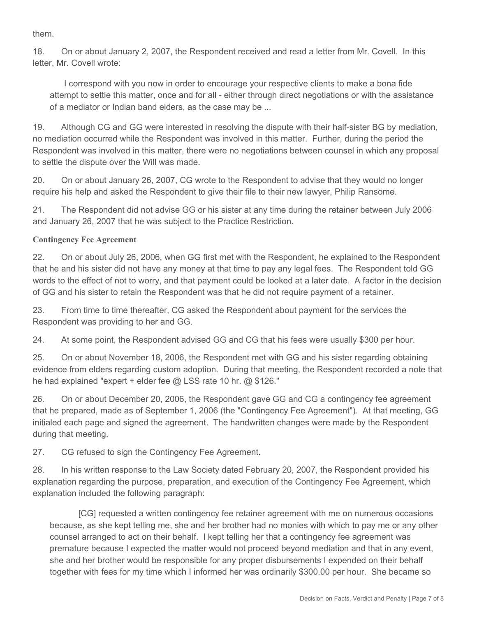them.

18. On or about January 2, 2007, the Respondent received and read a letter from Mr. Covell. In this letter, Mr. Covell wrote:

 I correspond with you now in order to encourage your respective clients to make a bona fide attempt to settle this matter, once and for all - either through direct negotiations or with the assistance of a mediator or Indian band elders, as the case may be ...

19. Although CG and GG were interested in resolving the dispute with their half-sister BG by mediation, no mediation occurred while the Respondent was involved in this matter. Further, during the period the Respondent was involved in this matter, there were no negotiations between counsel in which any proposal to settle the dispute over the Will was made.

20. On or about January 26, 2007, CG wrote to the Respondent to advise that they would no longer require his help and asked the Respondent to give their file to their new lawyer, Philip Ransome.

21. The Respondent did not advise GG or his sister at any time during the retainer between July 2006 and January 26, 2007 that he was subject to the Practice Restriction.

## **Contingency Fee Agreement**

22. On or about July 26, 2006, when GG first met with the Respondent, he explained to the Respondent that he and his sister did not have any money at that time to pay any legal fees. The Respondent told GG words to the effect of not to worry, and that payment could be looked at a later date. A factor in the decision of GG and his sister to retain the Respondent was that he did not require payment of a retainer.

23. From time to time thereafter, CG asked the Respondent about payment for the services the Respondent was providing to her and GG.

24. At some point, the Respondent advised GG and CG that his fees were usually \$300 per hour.

25. On or about November 18, 2006, the Respondent met with GG and his sister regarding obtaining evidence from elders regarding custom adoption. During that meeting, the Respondent recorded a note that he had explained "expert + elder fee @ LSS rate 10 hr. @ \$126."

26. On or about December 20, 2006, the Respondent gave GG and CG a contingency fee agreement that he prepared, made as of September 1, 2006 (the "Contingency Fee Agreement"). At that meeting, GG initialed each page and signed the agreement. The handwritten changes were made by the Respondent during that meeting.

27. CG refused to sign the Contingency Fee Agreement.

28. In his written response to the Law Society dated February 20, 2007, the Respondent provided his explanation regarding the purpose, preparation, and execution of the Contingency Fee Agreement, which explanation included the following paragraph:

 [CG] requested a written contingency fee retainer agreement with me on numerous occasions because, as she kept telling me, she and her brother had no monies with which to pay me or any other counsel arranged to act on their behalf. I kept telling her that a contingency fee agreement was premature because I expected the matter would not proceed beyond mediation and that in any event, she and her brother would be responsible for any proper disbursements I expended on their behalf together with fees for my time which I informed her was ordinarily \$300.00 per hour. She became so